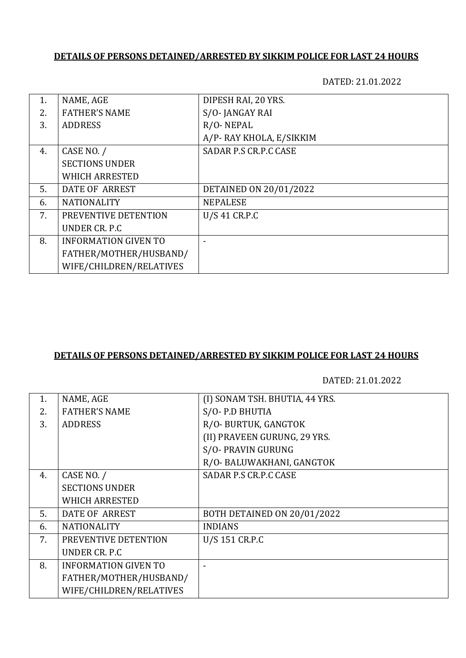### **DETAILS OF PERSONS DETAINED/ARRESTED BY SIKKIM POLICE FOR LAST 24 HOURS**

DATED: 21.01.2022

| 1. | NAME, AGE                   | DIPESH RAI, 20 YRS.     |
|----|-----------------------------|-------------------------|
| 2. | <b>FATHER'S NAME</b>        | S/O-JANGAY RAI          |
| 3. | <b>ADDRESS</b>              | R/O-NEPAL               |
|    |                             | A/P-RAY KHOLA, E/SIKKIM |
| 4. | CASE NO. /                  | SADAR P.S CR.P.C CASE   |
|    | <b>SECTIONS UNDER</b>       |                         |
|    | <b>WHICH ARRESTED</b>       |                         |
| 5. | DATE OF ARREST              | DETAINED ON 20/01/2022  |
| 6. | <b>NATIONALITY</b>          | <b>NEPALESE</b>         |
| 7. | PREVENTIVE DETENTION        | U/S 41 CR.P.C           |
|    | UNDER CR. P.C.              |                         |
| 8. | <b>INFORMATION GIVEN TO</b> |                         |
|    | FATHER/MOTHER/HUSBAND/      |                         |
|    | WIFE/CHILDREN/RELATIVES     |                         |

#### **DETAILS OF PERSONS DETAINED/ARRESTED BY SIKKIM POLICE FOR LAST 24 HOURS**

DATED: 21.01.2022

| 1. | NAME, AGE                   | (I) SONAM TSH. BHUTIA, 44 YRS. |
|----|-----------------------------|--------------------------------|
| 2. | <b>FATHER'S NAME</b>        | S/O-P.D BHUTIA                 |
| 3. | <b>ADDRESS</b>              | R/O- BURTUK, GANGTOK           |
|    |                             | (II) PRAVEEN GURUNG, 29 YRS.   |
|    |                             | S/O- PRAVIN GURUNG             |
|    |                             | R/O- BALUWAKHANI, GANGTOK      |
| 4. | CASE NO. /                  | SADAR P.S CR.P.C CASE          |
|    | <b>SECTIONS UNDER</b>       |                                |
|    | <b>WHICH ARRESTED</b>       |                                |
| 5. | DATE OF ARREST              | BOTH DETAINED ON 20/01/2022    |
| 6. | <b>NATIONALITY</b>          | <b>INDIANS</b>                 |
| 7. | PREVENTIVE DETENTION        | U/S 151 CR.P.C                 |
|    | UNDER CR. P.C.              |                                |
| 8. | <b>INFORMATION GIVEN TO</b> |                                |
|    | FATHER/MOTHER/HUSBAND/      |                                |
|    | WIFE/CHILDREN/RELATIVES     |                                |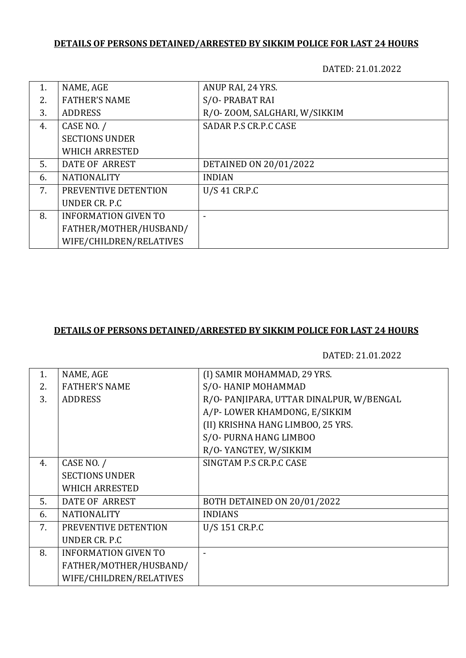# **DETAILS OF PERSONS DETAINED/ARRESTED BY SIKKIM POLICE FOR LAST 24 HOURS**

DATED: 21.01.2022

| 1. | NAME, AGE                   | ANUP RAI, 24 YRS.            |
|----|-----------------------------|------------------------------|
| 2. | <b>FATHER'S NAME</b>        | S/O-PRABAT RAI               |
| 3. | <b>ADDRESS</b>              | R/O-ZOOM, SALGHARI, W/SIKKIM |
| 4. | CASE NO. /                  | SADAR P.S CR.P.C CASE        |
|    | <b>SECTIONS UNDER</b>       |                              |
|    | <b>WHICH ARRESTED</b>       |                              |
| 5. | DATE OF ARREST              | DETAINED ON 20/01/2022       |
| 6. | <b>NATIONALITY</b>          | <b>INDIAN</b>                |
| 7. | PREVENTIVE DETENTION        | U/S 41 CR.P.C                |
|    | UNDER CR. P.C.              |                              |
| 8. | <b>INFORMATION GIVEN TO</b> |                              |
|    | FATHER/MOTHER/HUSBAND/      |                              |
|    | WIFE/CHILDREN/RELATIVES     |                              |

#### **DETAILS OF PERSONS DETAINED/ARRESTED BY SIKKIM POLICE FOR LAST 24 HOURS**

DATED: 21.01.2022

| 1. | NAME, AGE                   | (I) SAMIR MOHAMMAD, 29 YRS.             |
|----|-----------------------------|-----------------------------------------|
| 2. | <b>FATHER'S NAME</b>        | S/O-HANIP MOHAMMAD                      |
| 3. | <b>ADDRESS</b>              | R/O-PANJIPARA, UTTAR DINALPUR, W/BENGAL |
|    |                             | A/P-LOWER KHAMDONG, E/SIKKIM            |
|    |                             | (II) KRISHNA HANG LIMBOO, 25 YRS.       |
|    |                             | S/O- PURNA HANG LIMBOO                  |
|    |                             | R/O-YANGTEY, W/SIKKIM                   |
| 4. | CASE NO. /                  | SINGTAM P.S CR.P.C CASE                 |
|    | <b>SECTIONS UNDER</b>       |                                         |
|    | <b>WHICH ARRESTED</b>       |                                         |
| 5. | DATE OF ARREST              | BOTH DETAINED ON 20/01/2022             |
| 6. | <b>NATIONALITY</b>          | <b>INDIANS</b>                          |
| 7. | PREVENTIVE DETENTION        | U/S 151 CR.P.C                          |
|    | UNDER CR. P.C.              |                                         |
| 8. | <b>INFORMATION GIVEN TO</b> |                                         |
|    | FATHER/MOTHER/HUSBAND/      |                                         |
|    | WIFE/CHILDREN/RELATIVES     |                                         |